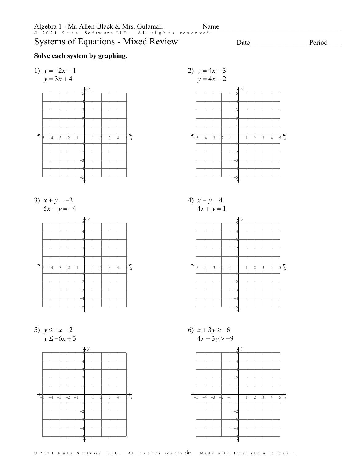## **Systems of Equations - Mixed Review**

## Solve each system by graphing.





5)  $y \le -x - 2$  $y \le -6x + 3$ 





Name

Date

Period

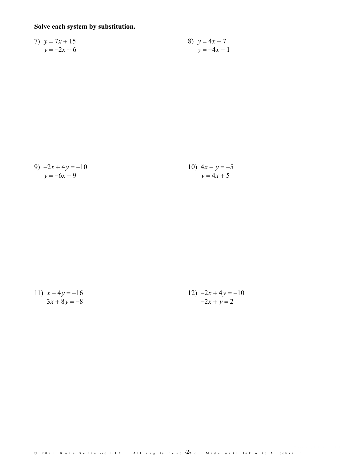## Solve each system by substitution.

7) 
$$
y = 7x + 15
$$
  
\n $y = -2x + 6$   
\n8)  $y = 4x + 7$   
\n $y = -4x - 1$ 

9) 
$$
-2x + 4y = -10
$$
  
\n $y = -6x - 9$   
\n10)  $4x - y = -5$   
\n $y = 4x + 5$ 

11) 
$$
x-4y = -16
$$
  
\n $3x + 8y = -8$   
\n12)  $-2x + 4y = -10$   
\n $-2x + y = 2$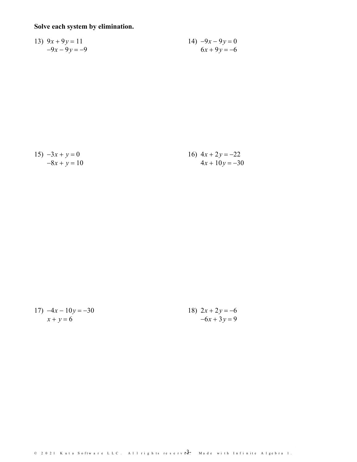## Solve each system by elimination.

13) 
$$
9x + 9y = 11
$$
  
\n $-9x - 9y = -9$   
\n $6x + 9y = -6$ 

| $15) -3x + y = 0$ | 16) $4x + 2y = -22$ |
|-------------------|---------------------|
| $-8x + y = 10$    | $4x + 10y = -30$    |

| 17) $-4x - 10y = -30$ | 18) $2x + 2y = -6$ |
|-----------------------|--------------------|
| $x + y = 6$           | $-6x + 3y = 9$     |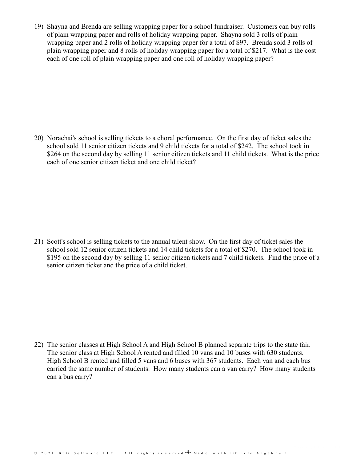19) Shayna and Brenda are selling wrapping paper for a school fundraiser. Customers can buy rolls of plain wrapping paper and rolls of holiday wrapping paper. Shayna sold 3 rolls of plain wrapping paper and 2 rolls of holiday wrapping paper for a total of \$97. Brenda sold 3 rolls of plain wrapping paper and 8 rolls ofholiday wrapping paper for a total of \$217. What is the cost each of one roll of plain wrapping paper and one roll of holiday wrapping paper?

20) Norachai's school is selling tickets to a choral performance. On the first day of ticket sales the school sold 11 senior citizen tickets and 9 child tickets for a total of \$242. The school took in \$264 on the second day by selling 11 senior citizen tickets and 11 child tickets. What is the price each of one senior citizen ticket and one child ticket?

21) Scott's school is selling tickets to the annual talent show. On the first day of ticket sales the school sold 12 senior citizen tickets and 14 child tickets for a total of \$270. The school took in \$195 on the second day by selling 11 senior citizen tickets and 7 child tickets. Find the price of a senior citizen ticket and the price of a child ticket.

22) The senior classes at High School A and High School B planned separate trips to the state fair. The senior class at High School A rented and filled 10 vansand 10 buses with 630 students. High School B rented and filled 5 vans and 6 buses with 367 students. Each van and each bus carried the same number of students. How many students can a van carry? How many students can a bus carry?